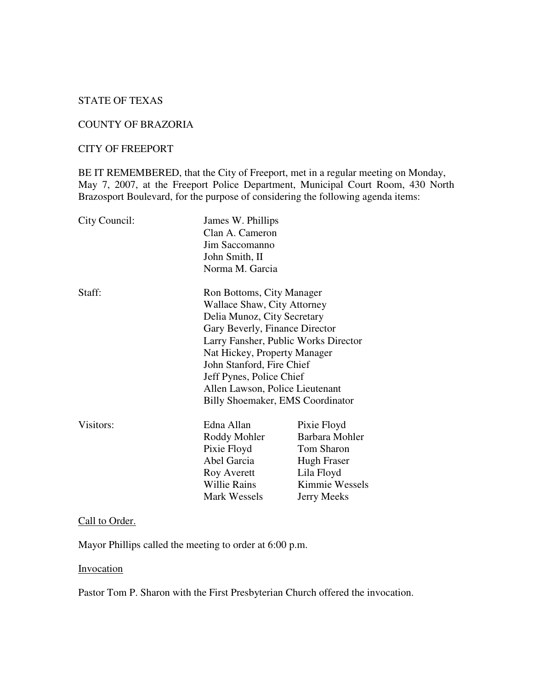# STATE OF TEXAS

#### COUNTY OF BRAZORIA

### CITY OF FREEPORT

BE IT REMEMBERED, that the City of Freeport, met in a regular meeting on Monday, May 7, 2007, at the Freeport Police Department, Municipal Court Room, 430 North Brazosport Boulevard, for the purpose of considering the following agenda items:

| City Council: | James W. Phillips<br>Clan A. Cameron<br>Jim Saccomanno<br>John Smith, II<br>Norma M. Garcia                                                                                                                                                                                               |                                                                                                                  |
|---------------|-------------------------------------------------------------------------------------------------------------------------------------------------------------------------------------------------------------------------------------------------------------------------------------------|------------------------------------------------------------------------------------------------------------------|
| Staff:        | Ron Bottoms, City Manager<br>Wallace Shaw, City Attorney<br>Delia Munoz, City Secretary<br>Gary Beverly, Finance Director<br>Nat Hickey, Property Manager<br>John Stanford, Fire Chief<br>Jeff Pynes, Police Chief<br>Allen Lawson, Police Lieutenant<br>Billy Shoemaker, EMS Coordinator | Larry Fansher, Public Works Director                                                                             |
| Visitors:     | Edna Allan<br>Roddy Mohler<br>Pixie Floyd<br>Abel Garcia<br>Roy Averett<br>Willie Rains<br>Mark Wessels                                                                                                                                                                                   | Pixie Floyd<br>Barbara Mohler<br>Tom Sharon<br>Hugh Fraser<br>Lila Floyd<br>Kimmie Wessels<br><b>Jerry Meeks</b> |

# Call to Order.

Mayor Phillips called the meeting to order at 6:00 p.m.

#### **Invocation**

Pastor Tom P. Sharon with the First Presbyterian Church offered the invocation.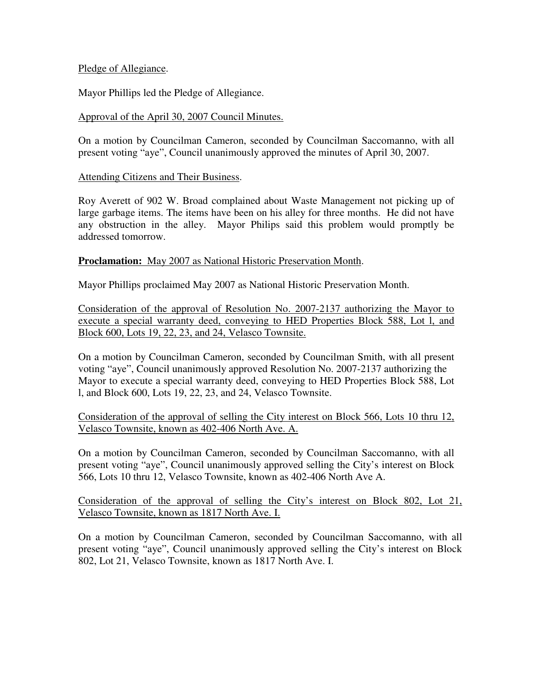# Pledge of Allegiance.

Mayor Phillips led the Pledge of Allegiance.

# Approval of the April 30, 2007 Council Minutes.

On a motion by Councilman Cameron, seconded by Councilman Saccomanno, with all present voting "aye", Council unanimously approved the minutes of April 30, 2007.

### Attending Citizens and Their Business.

Roy Averett of 902 W. Broad complained about Waste Management not picking up of large garbage items. The items have been on his alley for three months. He did not have any obstruction in the alley. Mayor Philips said this problem would promptly be addressed tomorrow.

#### **Proclamation:** May 2007 as National Historic Preservation Month.

Mayor Phillips proclaimed May 2007 as National Historic Preservation Month.

Consideration of the approval of Resolution No. 2007-2137 authorizing the Mayor to execute a special warranty deed, conveying to HED Properties Block 588, Lot l, and Block 600, Lots 19, 22, 23, and 24, Velasco Townsite.

On a motion by Councilman Cameron, seconded by Councilman Smith, with all present voting "aye", Council unanimously approved Resolution No. 2007-2137 authorizing the Mayor to execute a special warranty deed, conveying to HED Properties Block 588, Lot l, and Block 600, Lots 19, 22, 23, and 24, Velasco Townsite.

Consideration of the approval of selling the City interest on Block 566, Lots 10 thru 12, Velasco Townsite, known as 402-406 North Ave. A.

On a motion by Councilman Cameron, seconded by Councilman Saccomanno, with all present voting "aye", Council unanimously approved selling the City's interest on Block 566, Lots 10 thru 12, Velasco Townsite, known as 402-406 North Ave A.

Consideration of the approval of selling the City's interest on Block 802, Lot 21, Velasco Townsite, known as 1817 North Ave. I.

On a motion by Councilman Cameron, seconded by Councilman Saccomanno, with all present voting "aye", Council unanimously approved selling the City's interest on Block 802, Lot 21, Velasco Townsite, known as 1817 North Ave. I.